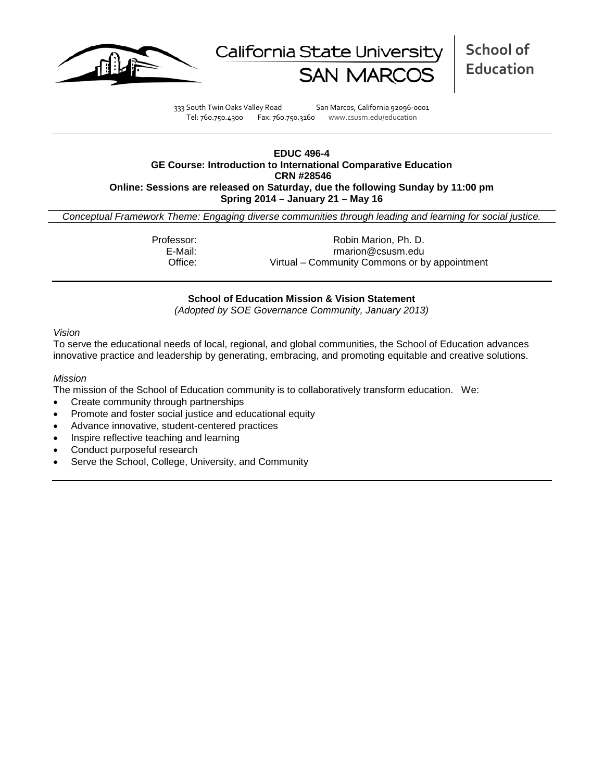



**School of Education**

333 South Twin Oaks Valley Road San Marcos, California 92096-0001 Tel: 760.750.4300 Fax: 760.750.3160 www.csusm.edu/education

#### **EDUC 496-4 GE Course: Introduction to International Comparative Education CRN #28546 Online: Sessions are released on Saturday, due the following Sunday by 11:00 pm Spring 2014 – January 21 – May 16**

*Conceptual Framework Theme: Engaging diverse communities through leading and learning for social justice.*

Professor: Robin Marion, Ph. D.<br>E-Mail: Fratish Controller and the marion @csusm.edu E-Mail: rmarion@csusm.edu Office: Virtual – Community Commons or by appointment

## **School of Education Mission & Vision Statement**

*(Adopted by SOE Governance Community, January 2013)*

#### *Vision*

To serve the educational needs of local, regional, and global communities, the School of Education advances innovative practice and leadership by generating, embracing, and promoting equitable and creative solutions.

#### *Mission*

The mission of the School of Education community is to collaboratively transform education. We:

- Create community through partnerships
- Promote and foster social justice and educational equity
- Advance innovative, student-centered practices
- Inspire reflective teaching and learning
- Conduct purposeful research
- Serve the School, College, University, and Community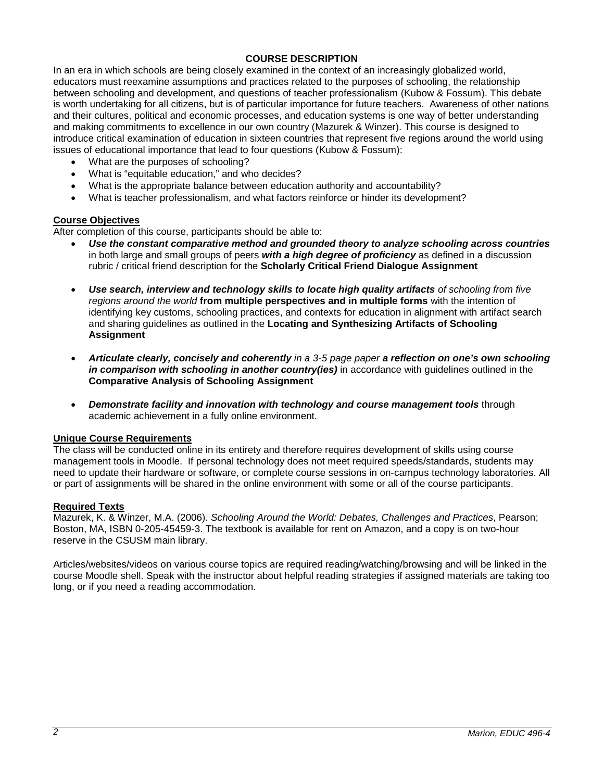## **COURSE DESCRIPTION**

In an era in which schools are being closely examined in the context of an increasingly globalized world, educators must reexamine assumptions and practices related to the purposes of schooling, the relationship between schooling and development, and questions of teacher professionalism (Kubow & Fossum). This debate is worth undertaking for all citizens, but is of particular importance for future teachers. Awareness of other nations and their cultures, political and economic processes, and education systems is one way of better understanding and making commitments to excellence in our own country (Mazurek & Winzer). This course is designed to introduce critical examination of education in sixteen countries that represent five regions around the world using issues of educational importance that lead to four questions (Kubow & Fossum):

- What are the purposes of schooling?
- What is "equitable education," and who decides?
- What is the appropriate balance between education authority and accountability?
- What is teacher professionalism, and what factors reinforce or hinder its development?

## **Course Objectives**

After completion of this course, participants should be able to:

- *Use the constant comparative method and grounded theory to analyze schooling across countries* in both large and small groups of peers *with a high degree of proficiency* as defined in a discussion rubric / critical friend description for the **Scholarly Critical Friend Dialogue Assignment**
- *Use search, interview and technology skills to locate high quality artifacts of schooling from five regions around the world* **from multiple perspectives and in multiple forms** with the intention of identifying key customs, schooling practices, and contexts for education in alignment with artifact search and sharing guidelines as outlined in the **Locating and Synthesizing Artifacts of Schooling Assignment**
- *Articulate clearly, concisely and coherently in a 3-5 page paper a reflection on one's own schooling in comparison with schooling in another country(ies)* in accordance with guidelines outlined in the **Comparative Analysis of Schooling Assignment**
- *Demonstrate facility and innovation with technology and course management tools* through academic achievement in a fully online environment.

#### **Unique Course Requirements**

The class will be conducted online in its entirety and therefore requires development of skills using course management tools in Moodle. If personal technology does not meet required speeds/standards, students may need to update their hardware or software, or complete course sessions in on-campus technology laboratories. All or part of assignments will be shared in the online environment with some or all of the course participants.

#### **Required Texts**

Mazurek, K. & Winzer, M.A. (2006). *Schooling Around the World: Debates, Challenges and Practices*, Pearson; Boston, MA, ISBN 0-205-45459-3. The textbook is available for rent on Amazon, and a copy is on two-hour reserve in the CSUSM main library.

Articles/websites/videos on various course topics are required reading/watching/browsing and will be linked in the course Moodle shell. Speak with the instructor about helpful reading strategies if assigned materials are taking too long, or if you need a reading accommodation.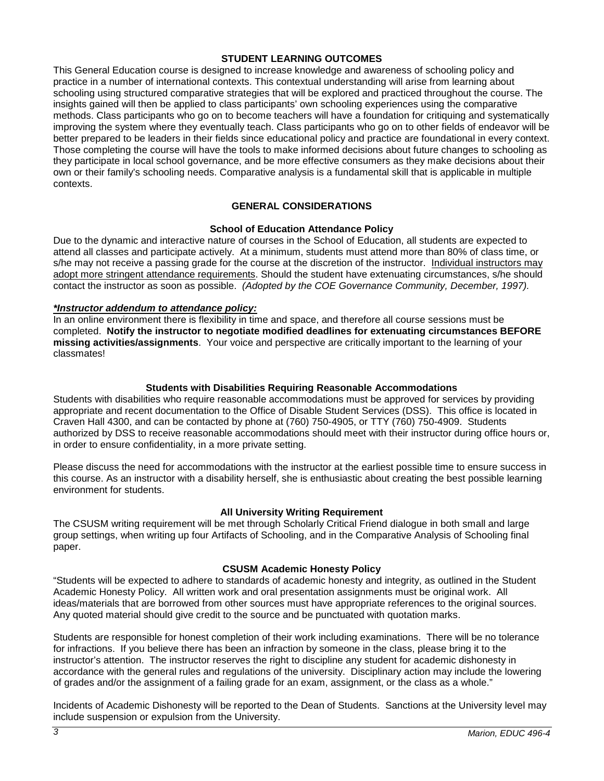### **STUDENT LEARNING OUTCOMES**

This General Education course is designed to increase knowledge and awareness of schooling policy and practice in a number of international contexts. This contextual understanding will arise from learning about schooling using structured comparative strategies that will be explored and practiced throughout the course. The insights gained will then be applied to class participants' own schooling experiences using the comparative methods. Class participants who go on to become teachers will have a foundation for critiquing and systematically improving the system where they eventually teach. Class participants who go on to other fields of endeavor will be better prepared to be leaders in their fields since educational policy and practice are foundational in every context. Those completing the course will have the tools to make informed decisions about future changes to schooling as they participate in local school governance, and be more effective consumers as they make decisions about their own or their family's schooling needs. Comparative analysis is a fundamental skill that is applicable in multiple contexts.

# **GENERAL CONSIDERATIONS**

## **School of Education Attendance Policy**

Due to the dynamic and interactive nature of courses in the School of Education, all students are expected to attend all classes and participate actively. At a minimum, students must attend more than 80% of class time, or s/he may not receive a passing grade for the course at the discretion of the instructor. Individual instructors may adopt more stringent attendance requirements. Should the student have extenuating circumstances, s/he should contact the instructor as soon as possible. *(Adopted by the COE Governance Community, December, 1997).*

## *\*Instructor addendum to attendance policy:*

In an online environment there is flexibility in time and space, and therefore all course sessions must be completed. **Notify the instructor to negotiate modified deadlines for extenuating circumstances BEFORE missing activities/assignments**. Your voice and perspective are critically important to the learning of your classmates!

## **Students with Disabilities Requiring Reasonable Accommodations**

Students with disabilities who require reasonable accommodations must be approved for services by providing appropriate and recent documentation to the Office of Disable Student Services (DSS). This office is located in Craven Hall 4300, and can be contacted by phone at (760) 750-4905, or TTY (760) 750-4909. Students authorized by DSS to receive reasonable accommodations should meet with their instructor during office hours or, in order to ensure confidentiality, in a more private setting.

Please discuss the need for accommodations with the instructor at the earliest possible time to ensure success in this course. As an instructor with a disability herself, she is enthusiastic about creating the best possible learning environment for students.

## **All University Writing Requirement**

The CSUSM writing requirement will be met through Scholarly Critical Friend dialogue in both small and large group settings, when writing up four Artifacts of Schooling, and in the Comparative Analysis of Schooling final paper.

# **CSUSM Academic Honesty Policy**

"Students will be expected to adhere to standards of academic honesty and integrity, as outlined in the Student Academic Honesty Policy. All written work and oral presentation assignments must be original work. All ideas/materials that are borrowed from other sources must have appropriate references to the original sources. Any quoted material should give credit to the source and be punctuated with quotation marks.

Students are responsible for honest completion of their work including examinations. There will be no tolerance for infractions. If you believe there has been an infraction by someone in the class, please bring it to the instructor's attention. The instructor reserves the right to discipline any student for academic dishonesty in accordance with the general rules and regulations of the university. Disciplinary action may include the lowering of grades and/or the assignment of a failing grade for an exam, assignment, or the class as a whole."

Incidents of Academic Dishonesty will be reported to the Dean of Students. Sanctions at the University level may include suspension or expulsion from the University.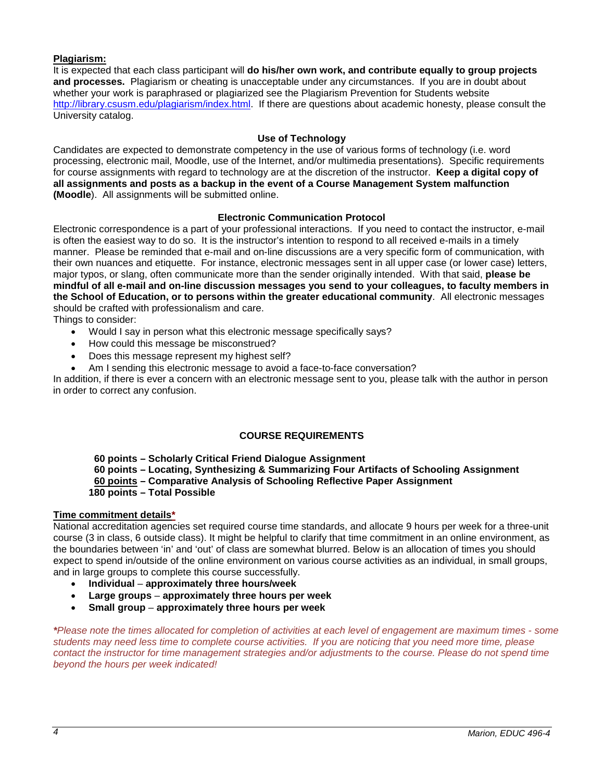## **Plagiarism:**

It is expected that each class participant will **do his/her own work, and contribute equally to group projects and processes.** Plagiarism or cheating is unacceptable under any circumstances. If you are in doubt about whether your work is paraphrased or plagiarized see the Plagiarism Prevention for Students website [http://library.csusm.edu/plagiarism/index.html.](http://library.csusm.edu/plagiarism/index.html) If there are questions about academic honesty, please consult the University catalog.

### **Use of Technology**

Candidates are expected to demonstrate competency in the use of various forms of technology (i.e. word processing, electronic mail, Moodle, use of the Internet, and/or multimedia presentations). Specific requirements for course assignments with regard to technology are at the discretion of the instructor. **Keep a digital copy of all assignments and posts as a backup in the event of a Course Management System malfunction (Moodle**). All assignments will be submitted online.

## **Electronic Communication Protocol**

Electronic correspondence is a part of your professional interactions. If you need to contact the instructor, e-mail is often the easiest way to do so. It is the instructor's intention to respond to all received e-mails in a timely manner. Please be reminded that e-mail and on-line discussions are a very specific form of communication, with their own nuances and etiquette. For instance, electronic messages sent in all upper case (or lower case) letters, major typos, or slang, often communicate more than the sender originally intended. With that said, **please be mindful of all e-mail and on-line discussion messages you send to your colleagues, to faculty members in the School of Education, or to persons within the greater educational community**. All electronic messages should be crafted with professionalism and care.

Things to consider:

- Would I say in person what this electronic message specifically says?
- How could this message be misconstrued?
- Does this message represent my highest self?
- Am I sending this electronic message to avoid a face-to-face conversation?

In addition, if there is ever a concern with an electronic message sent to you, please talk with the author in person in order to correct any confusion.

## **COURSE REQUIREMENTS**

 **60 points – Scholarly Critical Friend Dialogue Assignment**

- **60 points – Locating, Synthesizing & Summarizing Four Artifacts of Schooling Assignment**
- **60 points – Comparative Analysis of Schooling Reflective Paper Assignment**
- **180 points – Total Possible**

#### **Time commitment details\***

National accreditation agencies set required course time standards, and allocate 9 hours per week for a three-unit course (3 in class, 6 outside class). It might be helpful to clarify that time commitment in an online environment, as the boundaries between 'in' and 'out' of class are somewhat blurred. Below is an allocation of times you should expect to spend in/outside of the online environment on various course activities as an individual, in small groups, and in large groups to complete this course successfully.

- **Individual approximately three hours/week**
- **Large groups approximately three hours per week**
- **Small group approximately three hours per week**

*\*Please note the times allocated for completion of activities at each level of engagement are maximum times - some students may need less time to complete course activities. If you are noticing that you need more time, please*  contact the instructor for time management strategies and/or adjustments to the course. Please do not spend time *beyond the hours per week indicated!*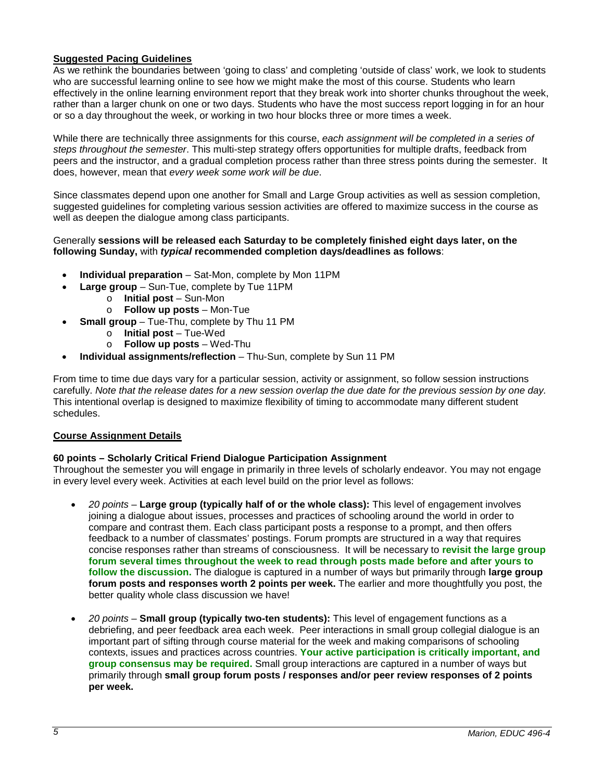# **Suggested Pacing Guidelines**

As we rethink the boundaries between 'going to class' and completing 'outside of class' work, we look to students who are successful learning online to see how we might make the most of this course. Students who learn effectively in the online learning environment report that they break work into shorter chunks throughout the week, rather than a larger chunk on one or two days. Students who have the most success report logging in for an hour or so a day throughout the week, or working in two hour blocks three or more times a week.

While there are technically three assignments for this course, *each assignment will be completed in a series of steps throughout the semester*. This multi-step strategy offers opportunities for multiple drafts, feedback from peers and the instructor, and a gradual completion process rather than three stress points during the semester. It does, however, mean that *every week some work will be due*.

Since classmates depend upon one another for Small and Large Group activities as well as session completion, suggested guidelines for completing various session activities are offered to maximize success in the course as well as deepen the dialogue among class participants.

#### Generally **sessions will be released each Saturday to be completely finished eight days later, on the following Sunday,** with *typical* **recommended completion days/deadlines as follows**:

- **Individual preparation** Sat-Mon, complete by Mon 11PM
	- **Large group**  Sun-Tue, complete by Tue 11PM
		- o **Initial post** Sun-Mon
		- o **Follow up posts** Mon-Tue
		- **Small group** Tue-Thu, complete by Thu 11 PM
			- o **Initial post**  Tue-Wed
			- o **Follow up posts**  Wed-Thu
- **Individual assignments/reflection** Thu-Sun, complete by Sun 11 PM

From time to time due days vary for a particular session, activity or assignment, so follow session instructions carefully. *Note that the release dates for a new session overlap the due date for the previous session by one day.* This intentional overlap is designed to maximize flexibility of timing to accommodate many different student schedules.

## **Course Assignment Details**

## **60 points – Scholarly Critical Friend Dialogue Participation Assignment**

Throughout the semester you will engage in primarily in three levels of scholarly endeavor. You may not engage in every level every week. Activities at each level build on the prior level as follows:

- *20 points* **Large group (typically half of or the whole class):** This level of engagement involves joining a dialogue about issues, processes and practices of schooling around the world in order to compare and contrast them. Each class participant posts a response to a prompt, and then offers feedback to a number of classmates' postings. Forum prompts are structured in a way that requires concise responses rather than streams of consciousness. It will be necessary to **revisit the large group forum several times throughout the week to read through posts made before and after yours to follow the discussion.** The dialogue is captured in a number of ways but primarily through **large group forum posts and responses worth 2 points per week.** The earlier and more thoughtfully you post, the better quality whole class discussion we have!
- *20 points* **Small group (typically two-ten students):** This level of engagement functions as a debriefing, and peer feedback area each week. Peer interactions in small group collegial dialogue is an important part of sifting through course material for the week and making comparisons of schooling contexts, issues and practices across countries. **Your active participation is critically important, and group consensus may be required.** Small group interactions are captured in a number of ways but primarily through **small group forum posts / responses and/or peer review responses of 2 points per week.**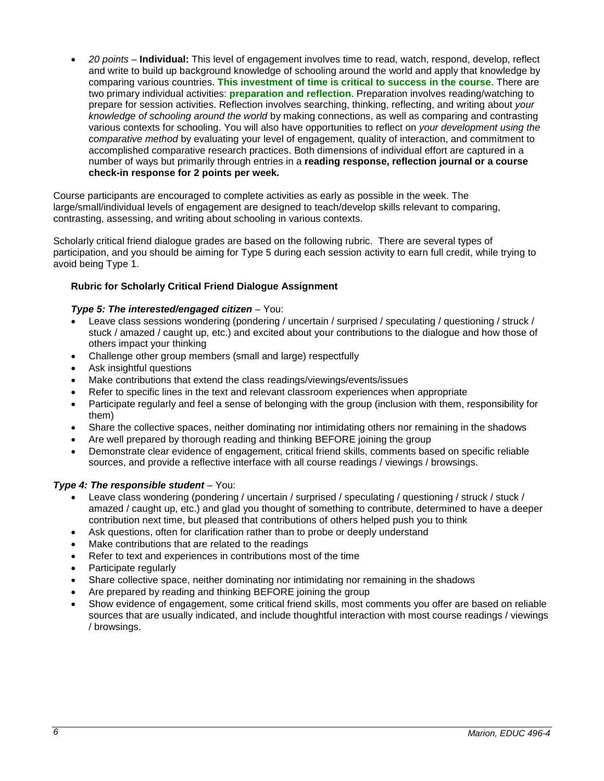• *20 points* – **Individual:** This level of engagement involves time to read, watch, respond, develop, reflect and write to build up background knowledge of schooling around the world and apply that knowledge by comparing various countries. **This investment of time is critical to success in the course**. There are two primary individual activities: **preparation and reflection**. Preparation involves reading/watching to prepare for session activities. Reflection involves searching, thinking, reflecting, and writing about *your knowledge of schooling around the world* by making connections, as well as comparing and contrasting various contexts for schooling. You will also have opportunities to reflect on *your development using the comparative method* by evaluating your level of engagement, quality of interaction, and commitment to accomplished comparative research practices. Both dimensions of individual effort are captured in a number of ways but primarily through entries in a **reading response, reflection journal or a course check-in response for 2 points per week.** 

Course participants are encouraged to complete activities as early as possible in the week. The large/small/individual levels of engagement are designed to teach/develop skills relevant to comparing, contrasting, assessing, and writing about schooling in various contexts.

Scholarly critical friend dialogue grades are based on the following rubric. There are several types of participation, and you should be aiming for Type 5 during each session activity to earn full credit, while trying to avoid being Type 1.

## **Rubric for Scholarly Critical Friend Dialogue Assignment**

## *Type 5: The interested/engaged citizen* – You:

- Leave class sessions wondering (pondering / uncertain / surprised / speculating / questioning / struck / stuck / amazed / caught up, etc.) and excited about your contributions to the dialogue and how those of others impact your thinking
- Challenge other group members (small and large) respectfully
- Ask insightful questions
- Make contributions that extend the class readings/viewings/events/issues
- Refer to specific lines in the text and relevant classroom experiences when appropriate
- Participate regularly and feel a sense of belonging with the group (inclusion with them, responsibility for them)
- Share the collective spaces, neither dominating nor intimidating others nor remaining in the shadows
- Are well prepared by thorough reading and thinking BEFORE joining the group
- Demonstrate clear evidence of engagement, critical friend skills, comments based on specific reliable sources, and provide a reflective interface with all course readings / viewings / browsings.

## *Type 4: The responsible student* – You:

- Leave class wondering (pondering / uncertain / surprised / speculating / questioning / struck / stuck / amazed / caught up, etc.) and glad you thought of something to contribute, determined to have a deeper contribution next time, but pleased that contributions of others helped push you to think
- Ask questions, often for clarification rather than to probe or deeply understand
- Make contributions that are related to the readings
- Refer to text and experiences in contributions most of the time
- Participate regularly
- Share collective space, neither dominating nor intimidating nor remaining in the shadows
- Are prepared by reading and thinking BEFORE joining the group
- Show evidence of engagement, some critical friend skills, most comments you offer are based on reliable sources that are usually indicated, and include thoughtful interaction with most course readings / viewings / browsings.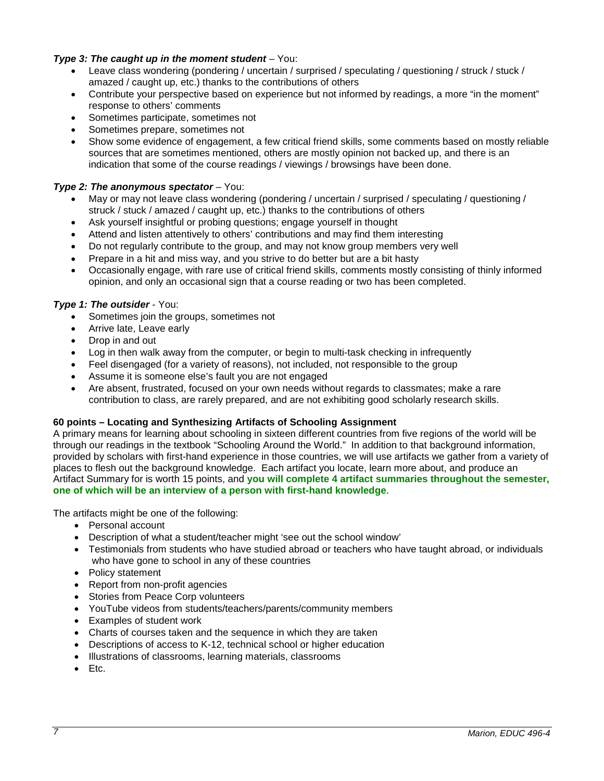## *Type 3: The caught up in the moment student* – You:

- Leave class wondering (pondering / uncertain / surprised / speculating / questioning / struck / stuck / amazed / caught up, etc.) thanks to the contributions of others
- Contribute your perspective based on experience but not informed by readings, a more "in the moment" response to others' comments
- Sometimes participate, sometimes not
- Sometimes prepare, sometimes not
- Show some evidence of engagement, a few critical friend skills, some comments based on mostly reliable sources that are sometimes mentioned, others are mostly opinion not backed up, and there is an indication that some of the course readings / viewings / browsings have been done.

## *Type 2: The anonymous spectator* – You:

- May or may not leave class wondering (pondering / uncertain / surprised / speculating / questioning / struck / stuck / amazed / caught up, etc.) thanks to the contributions of others
- Ask yourself insightful or probing questions; engage yourself in thought
- Attend and listen attentively to others' contributions and may find them interesting
- Do not regularly contribute to the group, and may not know group members very well
- Prepare in a hit and miss way, and you strive to do better but are a bit hasty
- Occasionally engage, with rare use of critical friend skills, comments mostly consisting of thinly informed opinion, and only an occasional sign that a course reading or two has been completed.

## *Type 1: The outsider* - You:

- Sometimes join the groups, sometimes not
- Arrive late, Leave early
- Drop in and out
- Log in then walk away from the computer, or begin to multi-task checking in infrequently
- Feel disengaged (for a variety of reasons), not included, not responsible to the group
- Assume it is someone else's fault you are not engaged
- Are absent, frustrated, focused on your own needs without regards to classmates; make a rare contribution to class, are rarely prepared, and are not exhibiting good scholarly research skills.

## **60 points – Locating and Synthesizing Artifacts of Schooling Assignment**

A primary means for learning about schooling in sixteen different countries from five regions of the world will be through our readings in the textbook "Schooling Around the World." In addition to that background information, provided by scholars with first-hand experience in those countries, we will use artifacts we gather from a variety of places to flesh out the background knowledge. Each artifact you locate, learn more about, and produce an Artifact Summary for is worth 15 points, and **you will complete 4 artifact summaries throughout the semester, one of which will be an interview of a person with first-hand knowledge**.

The artifacts might be one of the following:

- Personal account
- Description of what a student/teacher might 'see out the school window'
- Testimonials from students who have studied abroad or teachers who have taught abroad, or individuals who have gone to school in any of these countries
- Policy statement
- Report from non-profit agencies
- Stories from Peace Corp volunteers
- YouTube videos from students/teachers/parents/community members
- Examples of student work
- Charts of courses taken and the sequence in which they are taken
- Descriptions of access to K-12, technical school or higher education
- Illustrations of classrooms, learning materials, classrooms
- Etc.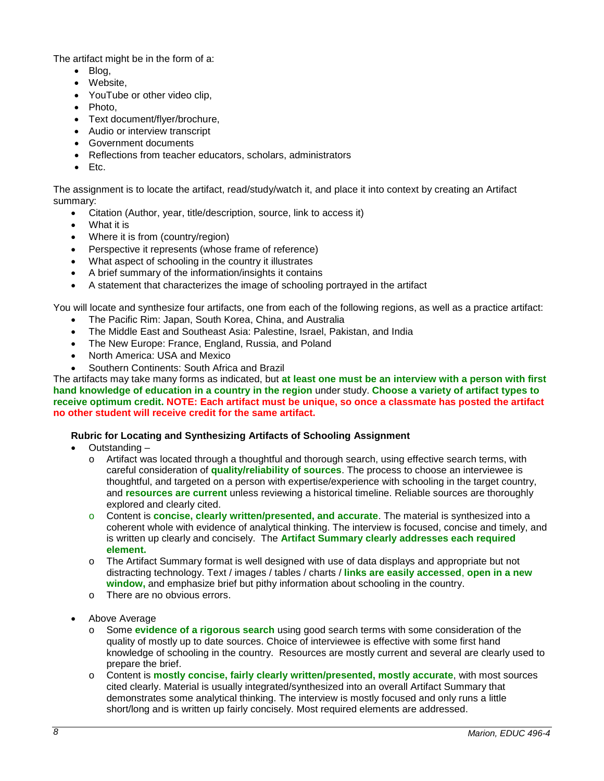The artifact might be in the form of a:

- Blog,
- Website,
- YouTube or other video clip,
- Photo,
- Text document/flyer/brochure,
- Audio or interview transcript
- Government documents
- Reflections from teacher educators, scholars, administrators
- Etc.

The assignment is to locate the artifact, read/study/watch it, and place it into context by creating an Artifact summary:

- Citation (Author, year, title/description, source, link to access it)
- What it is
- Where it is from (country/region)
- Perspective it represents (whose frame of reference)
- What aspect of schooling in the country it illustrates
- A brief summary of the information/insights it contains
- A statement that characterizes the image of schooling portrayed in the artifact

You will locate and synthesize four artifacts, one from each of the following regions, as well as a practice artifact:

- The Pacific Rim: Japan, South Korea, China, and Australia
- The Middle East and Southeast Asia: Palestine, Israel, Pakistan, and India
- The New Europe: France, England, Russia, and Poland
- North America: USA and Mexico
- Southern Continents: South Africa and Brazil

The artifacts may take many forms as indicated, but **at least one must be an interview with a person with first hand knowledge of education in a country in the region** under study. **Choose a variety of artifact types to receive optimum credit. NOTE: Each artifact must be unique, so once a classmate has posted the artifact no other student will receive credit for the same artifact.**

## **Rubric for Locating and Synthesizing Artifacts of Schooling Assignment**

- Outstanding
	- o Artifact was located through a thoughtful and thorough search, using effective search terms, with careful consideration of **quality/reliability of sources**. The process to choose an interviewee is thoughtful, and targeted on a person with expertise/experience with schooling in the target country, and **resources are current** unless reviewing a historical timeline. Reliable sources are thoroughly explored and clearly cited.
	- o Content is **concise, clearly written/presented, and accurate**. The material is synthesized into a coherent whole with evidence of analytical thinking. The interview is focused, concise and timely, and is written up clearly and concisely. The **Artifact Summary clearly addresses each required element.**
	- o The Artifact Summary format is well designed with use of data displays and appropriate but not distracting technology. Text / images / tables / charts / **links are easily accessed**, **open in a new window,** and emphasize brief but pithy information about schooling in the country.
	- o There are no obvious errors.
- Above Average
	- Some **evidence of a rigorous search** using good search terms with some consideration of the quality of mostly up to date sources. Choice of interviewee is effective with some first hand knowledge of schooling in the country. Resources are mostly current and several are clearly used to prepare the brief.
	- o Content is **mostly concise, fairly clearly written/presented, mostly accurate**, with most sources cited clearly. Material is usually integrated/synthesized into an overall Artifact Summary that demonstrates some analytical thinking. The interview is mostly focused and only runs a little short/long and is written up fairly concisely. Most required elements are addressed.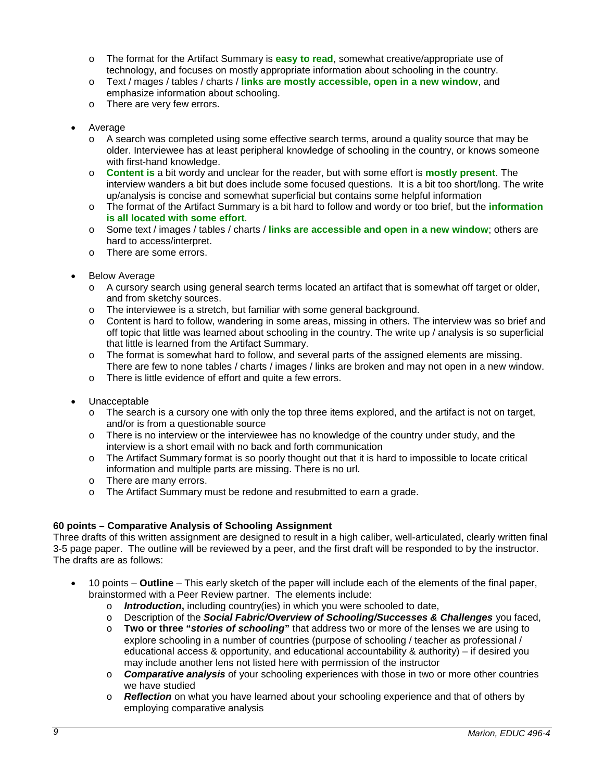- o The format for the Artifact Summary is **easy to read**, somewhat creative/appropriate use of technology, and focuses on mostly appropriate information about schooling in the country.
- o Text / mages / tables / charts / **links are mostly accessible, open in a new window**, and emphasize information about schooling.
- o There are very few errors.
- **Average** 
	- o A search was completed using some effective search terms, around a quality source that may be older. Interviewee has at least peripheral knowledge of schooling in the country, or knows someone with first-hand knowledge.
	- o **Content is** a bit wordy and unclear for the reader, but with some effort is **mostly present**. The interview wanders a bit but does include some focused questions. It is a bit too short/long. The write up/analysis is concise and somewhat superficial but contains some helpful information
	- o The format of the Artifact Summary is a bit hard to follow and wordy or too brief, but the **information is all located with some effort**.
	- o Some text / images / tables / charts / **links are accessible and open in a new window**; others are hard to access/interpret.
	- o There are some errors.
- **Below Average** 
	- o A cursory search using general search terms located an artifact that is somewhat off target or older, and from sketchy sources.
	- o The interviewee is a stretch, but familiar with some general background.
	- o Content is hard to follow, wandering in some areas, missing in others. The interview was so brief and off topic that little was learned about schooling in the country. The write up / analysis is so superficial that little is learned from the Artifact Summary.
	- o The format is somewhat hard to follow, and several parts of the assigned elements are missing. There are few to none tables / charts / images / links are broken and may not open in a new window.
	- o There is little evidence of effort and quite a few errors.
- Unacceptable
	- $\circ$  The search is a cursory one with only the top three items explored, and the artifact is not on target, and/or is from a questionable source
	- $\circ$  There is no interview or the interviewee has no knowledge of the country under study, and the interview is a short email with no back and forth communication
	- o The Artifact Summary format is so poorly thought out that it is hard to impossible to locate critical information and multiple parts are missing. There is no url.
	- o There are many errors.
	- o The Artifact Summary must be redone and resubmitted to earn a grade.

## **60 points – Comparative Analysis of Schooling Assignment**

Three drafts of this written assignment are designed to result in a high caliber, well-articulated, clearly written final 3-5 page paper. The outline will be reviewed by a peer, and the first draft will be responded to by the instructor. The drafts are as follows:

- 10 points **Outline** This early sketch of the paper will include each of the elements of the final paper, brainstormed with a Peer Review partner. The elements include:
	- o *Introduction***,** including country(ies) in which you were schooled to date,
	- o Description of the *Social Fabric/Overview of Schooling/Successes & Challenges* you faced,<br>
	o Two or three "*stories of schooling*" that address two or more of the lenses we are using to
	- o **Two or three "***stories of schooling***"** that address two or more of the lenses we are using to explore schooling in a number of countries (purpose of schooling / teacher as professional / educational access & opportunity, and educational accountability & authority) – if desired you may include another lens not listed here with permission of the instructor
	- o *Comparative analysis* of your schooling experiences with those in two or more other countries we have studied
	- o *Reflection* on what you have learned about your schooling experience and that of others by employing comparative analysis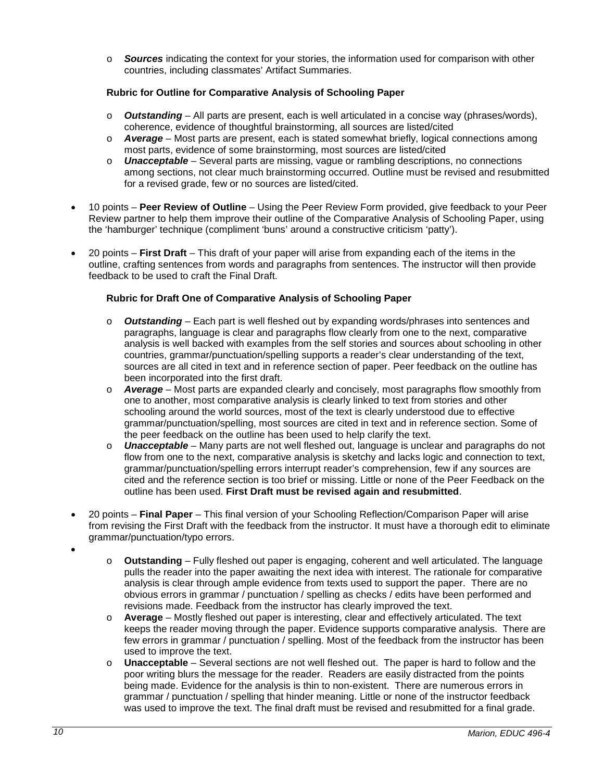o *Sources* indicating the context for your stories, the information used for comparison with other countries, including classmates' Artifact Summaries.

# **Rubric for Outline for Comparative Analysis of Schooling Paper**

- o *Outstanding* All parts are present, each is well articulated in a concise way (phrases/words), coherence, evidence of thoughtful brainstorming, all sources are listed/cited
- o *Average* Most parts are present, each is stated somewhat briefly, logical connections among most parts, evidence of some brainstorming, most sources are listed/cited
- o *Unacceptable* Several parts are missing, vague or rambling descriptions, no connections among sections, not clear much brainstorming occurred. Outline must be revised and resubmitted for a revised grade, few or no sources are listed/cited.
- 10 points **Peer Review of Outline** Using the Peer Review Form provided, give feedback to your Peer Review partner to help them improve their outline of the Comparative Analysis of Schooling Paper, using the 'hamburger' technique (compliment 'buns' around a constructive criticism 'patty').
- 20 points **First Draft** This draft of your paper will arise from expanding each of the items in the outline, crafting sentences from words and paragraphs from sentences. The instructor will then provide feedback to be used to craft the Final Draft.

## **Rubric for Draft One of Comparative Analysis of Schooling Paper**

- o *Outstanding* Each part is well fleshed out by expanding words/phrases into sentences and paragraphs, language is clear and paragraphs flow clearly from one to the next, comparative analysis is well backed with examples from the self stories and sources about schooling in other countries, grammar/punctuation/spelling supports a reader's clear understanding of the text, sources are all cited in text and in reference section of paper. Peer feedback on the outline has been incorporated into the first draft.
- o *Average* Most parts are expanded clearly and concisely, most paragraphs flow smoothly from one to another, most comparative analysis is clearly linked to text from stories and other schooling around the world sources, most of the text is clearly understood due to effective grammar/punctuation/spelling, most sources are cited in text and in reference section. Some of the peer feedback on the outline has been used to help clarify the text.
- o *Unacceptable* Many parts are not well fleshed out, language is unclear and paragraphs do not flow from one to the next, comparative analysis is sketchy and lacks logic and connection to text, grammar/punctuation/spelling errors interrupt reader's comprehension, few if any sources are cited and the reference section is too brief or missing. Little or none of the Peer Feedback on the outline has been used. **First Draft must be revised again and resubmitted**.
- 20 points **Final Paper** This final version of your Schooling Reflection/Comparison Paper will arise from revising the First Draft with the feedback from the instructor. It must have a thorough edit to eliminate grammar/punctuation/typo errors.
- •
- o **Outstanding** Fully fleshed out paper is engaging, coherent and well articulated. The language pulls the reader into the paper awaiting the next idea with interest. The rationale for comparative analysis is clear through ample evidence from texts used to support the paper. There are no obvious errors in grammar / punctuation / spelling as checks / edits have been performed and revisions made. Feedback from the instructor has clearly improved the text.
- o **Average** Mostly fleshed out paper is interesting, clear and effectively articulated. The text keeps the reader moving through the paper. Evidence supports comparative analysis. There are few errors in grammar / punctuation / spelling. Most of the feedback from the instructor has been used to improve the text.
- o **Unacceptable** Several sections are not well fleshed out. The paper is hard to follow and the poor writing blurs the message for the reader. Readers are easily distracted from the points being made. Evidence for the analysis is thin to non-existent. There are numerous errors in grammar / punctuation / spelling that hinder meaning. Little or none of the instructor feedback was used to improve the text. The final draft must be revised and resubmitted for a final grade.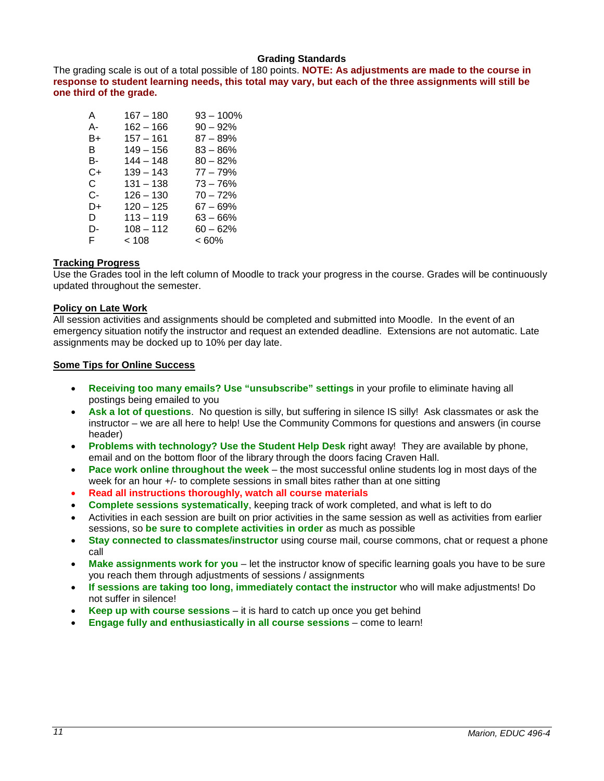### **Grading Standards**

The grading scale is out of a total possible of 180 points. **NOTE: As adjustments are made to the course in response to student learning needs, this total may vary, but each of the three assignments will still be one third of the grade.**

| A  | 167 – 180   | 93 – 100%  |
|----|-------------|------------|
| А- | $162 - 166$ | $90 - 92%$ |
| B+ | $157 - 161$ | 87 – 89%   |
| в  | $149 - 156$ | $83 - 86%$ |
| в- | $144 - 148$ | $80 - 82%$ |
| C+ | 139 – 143   | $77 - 79%$ |
| C. | $131 - 138$ | 73 – 76%   |
| C- | $126 - 130$ | $70 - 72%$ |
| D+ | 120 – 125   | 67 – 69%   |
| D  | $113 - 119$ | 63 – 66%   |
| D- | $108 - 112$ | 60 – 62%   |
| F. | < 108       | < 60%      |

## **Tracking Progress**

Use the Grades tool in the left column of Moodle to track your progress in the course. Grades will be continuously updated throughout the semester.

## **Policy on Late Work**

All session activities and assignments should be completed and submitted into Moodle. In the event of an emergency situation notify the instructor and request an extended deadline. Extensions are not automatic. Late assignments may be docked up to 10% per day late.

#### **Some Tips for Online Success**

- **Receiving too many emails? Use "unsubscribe" settings** in your profile to eliminate having all postings being emailed to you
- **Ask a lot of questions**. No question is silly, but suffering in silence IS silly! Ask classmates or ask the instructor – we are all here to help! Use the Community Commons for questions and answers (in course header)
- **Problems with technology? Use the Student Help Desk** right away! They are available by phone, email and on the bottom floor of the library through the doors facing Craven Hall.
- **Pace work online throughout the week** the most successful online students log in most days of the week for an hour +/- to complete sessions in small bites rather than at one sitting
- **Read all instructions thoroughly, watch all course materials**
- **Complete sessions systematically**, keeping track of work completed, and what is left to do
- Activities in each session are built on prior activities in the same session as well as activities from earlier sessions, so **be sure to complete activities in order** as much as possible
- **Stay connected to classmates/instructor** using course mail, course commons, chat or request a phone call
- **Make assignments work for you** let the instructor know of specific learning goals you have to be sure you reach them through adjustments of sessions / assignments
- **If sessions are taking too long, immediately contact the instructor** who will make adjustments! Do not suffer in silence!
- **Keep up with course sessions** it is hard to catch up once you get behind
- **Engage fully and enthusiastically in all course sessions** come to learn!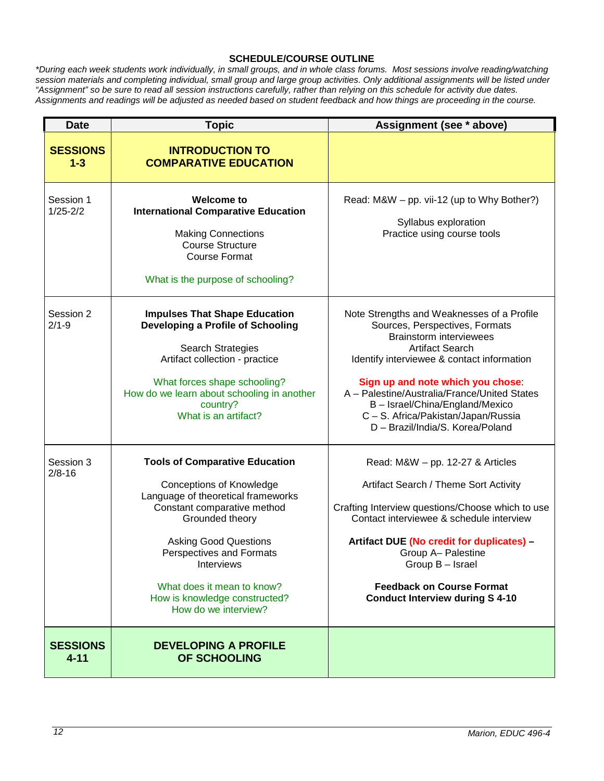### **SCHEDULE/COURSE OUTLINE**

*\*During each week students work individually, in small groups, and in whole class forums. Most sessions involve reading/watching session materials and completing individual, small group and large group activities. Only additional assignments will be listed under "Assignment" so be sure to read all session instructions carefully, rather than relying on this schedule for activity due dates. Assignments and readings will be adjusted as needed based on student feedback and how things are proceeding in the course.*

| <b>Date</b>                 | <b>Topic</b>                                                                                                                                                                                                                                                                                                                             | Assignment (see * above)                                                                                                                                                                                                                                                                                                                                                                  |
|-----------------------------|------------------------------------------------------------------------------------------------------------------------------------------------------------------------------------------------------------------------------------------------------------------------------------------------------------------------------------------|-------------------------------------------------------------------------------------------------------------------------------------------------------------------------------------------------------------------------------------------------------------------------------------------------------------------------------------------------------------------------------------------|
| <b>SESSIONS</b><br>$1 - 3$  | <b>INTRODUCTION TO</b><br><b>COMPARATIVE EDUCATION</b>                                                                                                                                                                                                                                                                                   |                                                                                                                                                                                                                                                                                                                                                                                           |
| Session 1<br>$1/25 - 2/2$   | <b>Welcome to</b><br><b>International Comparative Education</b><br><b>Making Connections</b><br><b>Course Structure</b><br><b>Course Format</b><br>What is the purpose of schooling?                                                                                                                                                     | Read: M&W - pp. vii-12 (up to Why Bother?)<br>Syllabus exploration<br>Practice using course tools                                                                                                                                                                                                                                                                                         |
| Session 2<br>$2/1 - 9$      | <b>Impulses That Shape Education</b><br>Developing a Profile of Schooling<br>Search Strategies<br>Artifact collection - practice<br>What forces shape schooling?<br>How do we learn about schooling in another<br>country?<br>What is an artifact?                                                                                       | Note Strengths and Weaknesses of a Profile<br>Sources, Perspectives, Formats<br><b>Brainstorm interviewees</b><br><b>Artifact Search</b><br>Identify interviewee & contact information<br>Sign up and note which you chose:<br>A - Palestine/Australia/France/United States<br>B - Israel/China/England/Mexico<br>C - S. Africa/Pakistan/Japan/Russia<br>D - Brazil/India/S. Korea/Poland |
| Session 3<br>$2/8 - 16$     | <b>Tools of Comparative Education</b><br><b>Conceptions of Knowledge</b><br>Language of theoretical frameworks<br>Constant comparative method<br>Grounded theory<br><b>Asking Good Questions</b><br><b>Perspectives and Formats</b><br>Interviews<br>What does it mean to know?<br>How is knowledge constructed?<br>How do we interview? | Read: M&W - pp. 12-27 & Articles<br>Artifact Search / Theme Sort Activity<br>Crafting Interview questions/Choose which to use<br>Contact interviewee & schedule interview<br>Artifact DUE (No credit for duplicates) -<br>Group A- Palestine<br>Group B - Israel<br><b>Feedback on Course Format</b><br><b>Conduct Interview during S 4-10</b>                                            |
| <b>SESSIONS</b><br>$4 - 11$ | <b>DEVELOPING A PROFILE</b><br>OF SCHOOLING                                                                                                                                                                                                                                                                                              |                                                                                                                                                                                                                                                                                                                                                                                           |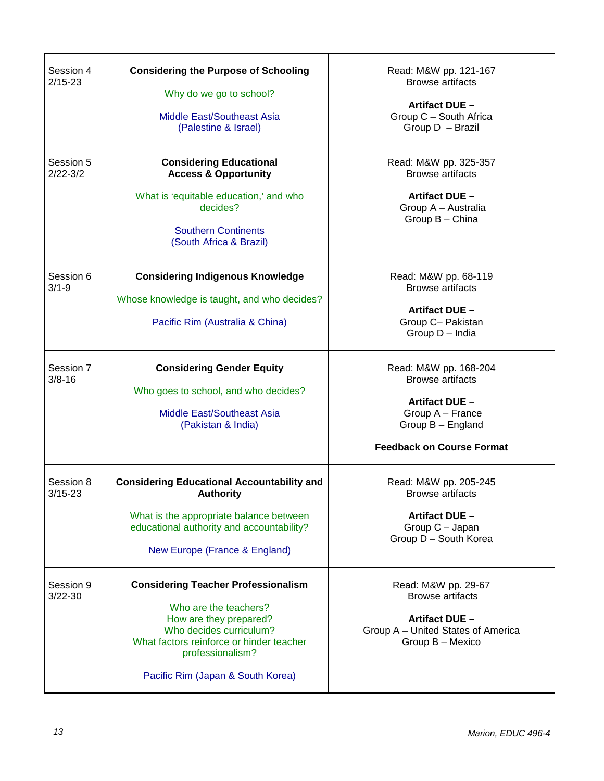| Session 4<br>$2/15 - 23$  | <b>Considering the Purpose of Schooling</b><br>Why do we go to school?<br><b>Middle East/Southeast Asia</b><br>(Palestine & Israel)                                                                                           | Read: M&W pp. 121-167<br><b>Browse artifacts</b><br>Artifact DUE -<br>Group C - South Africa<br>Group D - Brazil                                |
|---------------------------|-------------------------------------------------------------------------------------------------------------------------------------------------------------------------------------------------------------------------------|-------------------------------------------------------------------------------------------------------------------------------------------------|
| Session 5<br>$2/22 - 3/2$ | <b>Considering Educational</b><br><b>Access &amp; Opportunity</b><br>What is 'equitable education,' and who<br>decides?<br><b>Southern Continents</b><br>(South Africa & Brazil)                                              | Read: M&W pp. 325-357<br><b>Browse artifacts</b><br>Artifact DUE -<br>Group A - Australia<br>Group B - China                                    |
| Session 6<br>$3/1 - 9$    | <b>Considering Indigenous Knowledge</b><br>Whose knowledge is taught, and who decides?<br>Pacific Rim (Australia & China)                                                                                                     | Read: M&W pp. 68-119<br><b>Browse artifacts</b><br><b>Artifact DUE -</b><br>Group C- Pakistan<br>Group D - India                                |
| Session 7<br>$3/8 - 16$   | <b>Considering Gender Equity</b><br>Who goes to school, and who decides?<br><b>Middle East/Southeast Asia</b><br>(Pakistan & India)                                                                                           | Read: M&W pp. 168-204<br><b>Browse artifacts</b><br>Artifact DUE -<br>Group A - France<br>Group B - England<br><b>Feedback on Course Format</b> |
| Session 8<br>3/15-23      | <b>Considering Educational Accountability and</b><br><b>Authority</b><br>What is the appropriate balance between<br>educational authority and accountability?<br>New Europe (France & England)                                | Read: M&W pp. 205-245<br><b>Browse artifacts</b><br>Artifact DUE -<br>Group C - Japan<br>Group D - South Korea                                  |
| Session 9<br>$3/22 - 30$  | <b>Considering Teacher Professionalism</b><br>Who are the teachers?<br>How are they prepared?<br>Who decides curriculum?<br>What factors reinforce or hinder teacher<br>professionalism?<br>Pacific Rim (Japan & South Korea) | Read: M&W pp. 29-67<br><b>Browse artifacts</b><br>Artifact DUE -<br>Group A - United States of America<br>Group B - Mexico                      |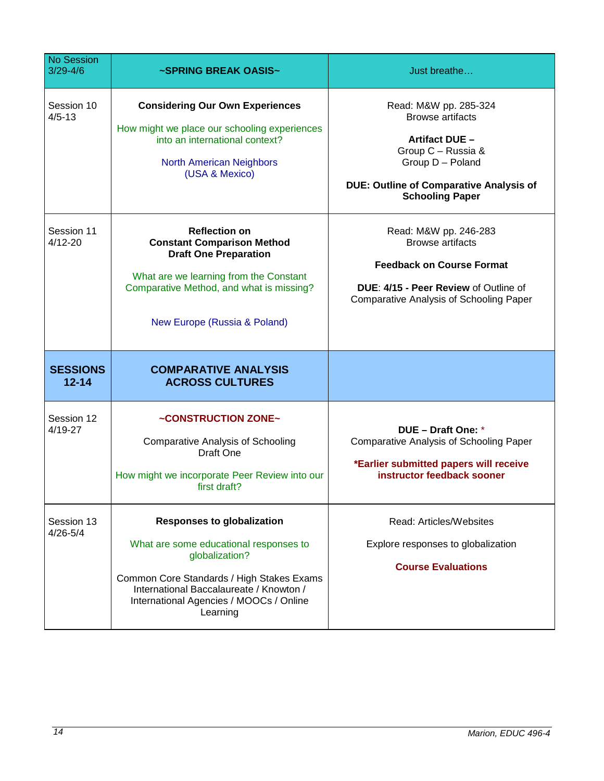| <b>No Session</b><br>$3/29 - 4/6$ | ~SPRING BREAK OASIS~                                                                                                                                                                                                                         | Just breathe                                                                                                                                                                                    |
|-----------------------------------|----------------------------------------------------------------------------------------------------------------------------------------------------------------------------------------------------------------------------------------------|-------------------------------------------------------------------------------------------------------------------------------------------------------------------------------------------------|
| Session 10<br>$4/5 - 13$          | <b>Considering Our Own Experiences</b><br>How might we place our schooling experiences<br>into an international context?<br><b>North American Neighbors</b><br>(USA & Mexico)                                                                | Read: M&W pp. 285-324<br><b>Browse artifacts</b><br><b>Artifact DUE -</b><br>Group C - Russia &<br>Group D - Poland<br><b>DUE: Outline of Comparative Analysis of</b><br><b>Schooling Paper</b> |
| Session 11<br>4/12-20             | <b>Reflection on</b><br><b>Constant Comparison Method</b><br><b>Draft One Preparation</b><br>What are we learning from the Constant<br>Comparative Method, and what is missing?<br>New Europe (Russia & Poland)                              | Read: M&W pp. 246-283<br><b>Browse artifacts</b><br><b>Feedback on Course Format</b><br>DUE: 4/15 - Peer Review of Outline of<br><b>Comparative Analysis of Schooling Paper</b>                 |
| <b>SESSIONS</b><br>$12 - 14$      | <b>COMPARATIVE ANALYSIS</b><br><b>ACROSS CULTURES</b>                                                                                                                                                                                        |                                                                                                                                                                                                 |
| Session 12<br>4/19-27             | ~CONSTRUCTION ZONE~<br><b>Comparative Analysis of Schooling</b><br>Draft One<br>How might we incorporate Peer Review into our<br>first draft?                                                                                                | DUE - Draft One: *<br><b>Comparative Analysis of Schooling Paper</b><br>*Earlier submitted papers will receive<br>instructor feedback sooner                                                    |
| Session 13<br>4/26-5/4            | <b>Responses to globalization</b><br>What are some educational responses to<br>globalization?<br>Common Core Standards / High Stakes Exams<br>International Baccalaureate / Knowton /<br>International Agencies / MOOCs / Online<br>Learning | Read: Articles/Websites<br>Explore responses to globalization<br><b>Course Evaluations</b>                                                                                                      |